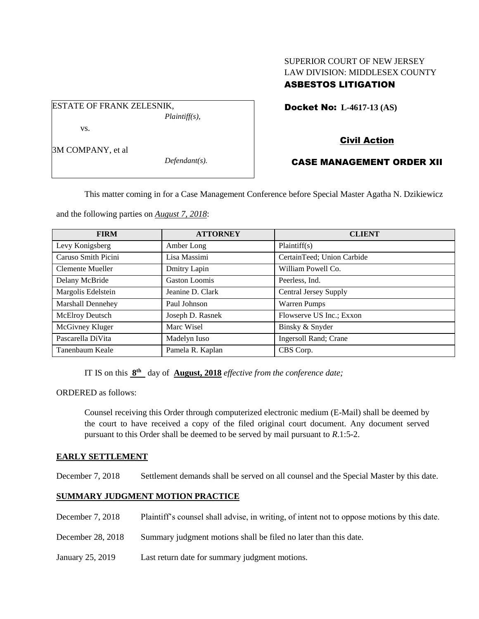# SUPERIOR COURT OF NEW JERSEY LAW DIVISION: MIDDLESEX COUNTY ASBESTOS LITIGATION

Docket No: **L-4617-13 (AS)** 

# Civil Action

## CASE MANAGEMENT ORDER XII

This matter coming in for a Case Management Conference before Special Master Agatha N. Dzikiewicz

and the following parties on *August 7, 2018*:

| <b>FIRM</b>              | <b>ATTORNEY</b>      | <b>CLIENT</b>                |
|--------------------------|----------------------|------------------------------|
| Levy Konigsberg          | Amber Long           | Plaintiff(s)                 |
| Caruso Smith Picini      | Lisa Massimi         | CertainTeed; Union Carbide   |
| Clemente Mueller         | Dmitry Lapin         | William Powell Co.           |
| Delany McBride           | <b>Gaston Loomis</b> | Peerless, Ind.               |
| Margolis Edelstein       | Jeanine D. Clark     | <b>Central Jersey Supply</b> |
| <b>Marshall Dennehey</b> | Paul Johnson         | <b>Warren Pumps</b>          |
| <b>McElroy Deutsch</b>   | Joseph D. Rasnek     | Flowserve US Inc.; Exxon     |
| McGivney Kluger          | Marc Wisel           | Binsky & Snyder              |
| Pascarella DiVita        | Madelyn Iuso         | Ingersoll Rand; Crane        |
| Tanenbaum Keale          | Pamela R. Kaplan     | CBS Corp.                    |

IT IS on this  $8<sup>th</sup>$  day of **August, 2018** *effective from the conference date*;

ORDERED as follows:

Counsel receiving this Order through computerized electronic medium (E-Mail) shall be deemed by the court to have received a copy of the filed original court document. Any document served pursuant to this Order shall be deemed to be served by mail pursuant to *R*.1:5-2.

### **EARLY SETTLEMENT**

December 7, 2018 Settlement demands shall be served on all counsel and the Special Master by this date.

### **SUMMARY JUDGMENT MOTION PRACTICE**

- December 7, 2018 Plaintiff's counsel shall advise, in writing, of intent not to oppose motions by this date.
- December 28, 2018 Summary judgment motions shall be filed no later than this date.
- January 25, 2019 Last return date for summary judgment motions.

3M COMPANY, et al

vs.

ESTATE OF FRANK ZELESNIK,

*Defendant(s).*

*Plaintiff(s),*